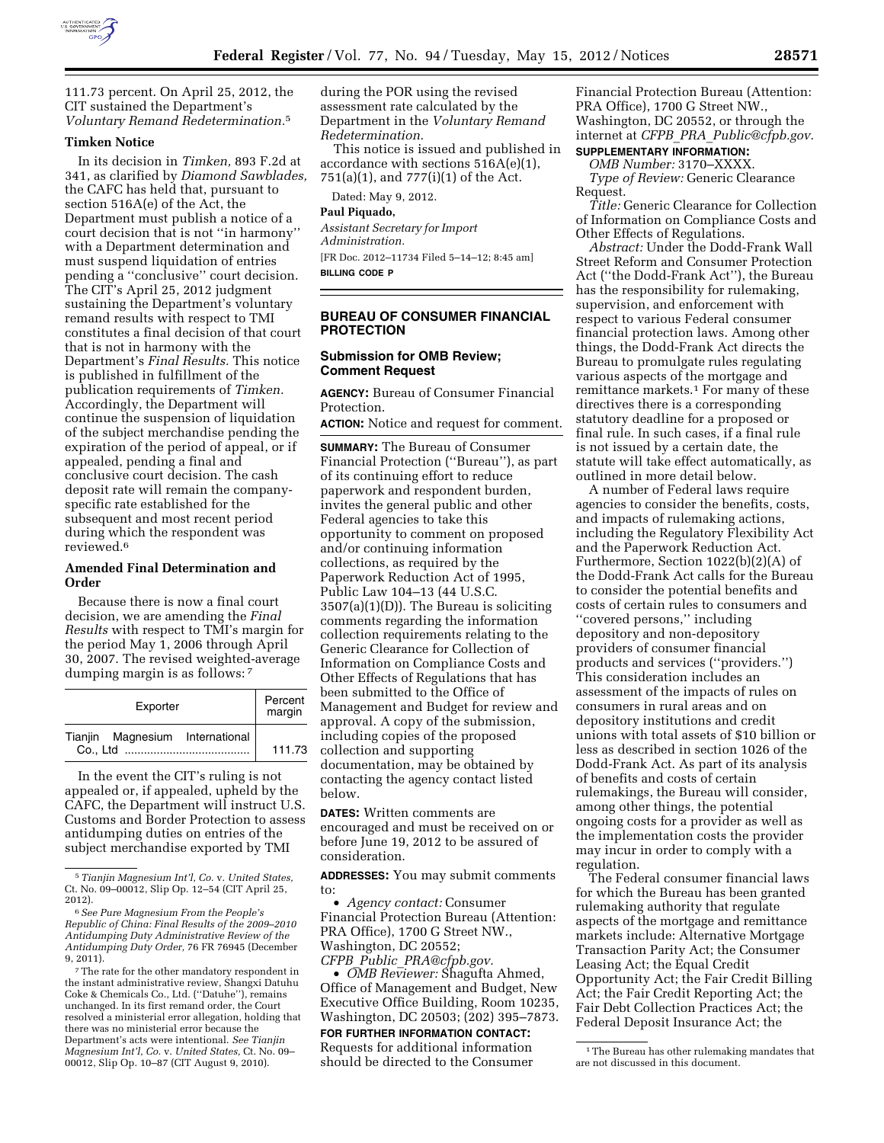

111.73 percent. On April 25, 2012, the CIT sustained the Department's *Voluntary Remand Redetermination.*5

### **Timken Notice**

In its decision in *Timken,* 893 F.2d at 341, as clarified by *Diamond Sawblades,*  the CAFC has held that, pursuant to section 516A(e) of the Act, the Department must publish a notice of a court decision that is not ''in harmony'' with a Department determination and must suspend liquidation of entries pending a ''conclusive'' court decision. The CIT's April 25, 2012 judgment sustaining the Department's voluntary remand results with respect to TMI constitutes a final decision of that court that is not in harmony with the Department's *Final Results.* This notice is published in fulfillment of the publication requirements of *Timken.*  Accordingly, the Department will continue the suspension of liquidation of the subject merchandise pending the expiration of the period of appeal, or if appealed, pending a final and conclusive court decision. The cash deposit rate will remain the companyspecific rate established for the subsequent and most recent period during which the respondent was reviewed.6

### **Amended Final Determination and Order**

Because there is now a final court decision, we are amending the *Final Results* with respect to TMI's margin for the period May 1, 2006 through April 30, 2007. The revised weighted-average dumping margin is as follows: 7

| Exporter                        | Percent<br>margin |
|---------------------------------|-------------------|
| Tianjin Magnesium International | 111.73            |

In the event the CIT's ruling is not appealed or, if appealed, upheld by the CAFC, the Department will instruct U.S. Customs and Border Protection to assess antidumping duties on entries of the subject merchandise exported by TMI

during the POR using the revised assessment rate calculated by the Department in the *Voluntary Remand Redetermination.* 

This notice is issued and published in accordance with sections 516A(e)(1), 751(a)(1), and 777(i)(1) of the Act.

Dated: May 9, 2012.

### **Paul Piquado,**

*Assistant Secretary for Import Administration.*  [FR Doc. 2012–11734 Filed 5–14–12; 8:45 am] **BILLING CODE P** 

**BUREAU OF CONSUMER FINANCIAL PROTECTION** 

# **Submission for OMB Review; Comment Request**

**AGENCY:** Bureau of Consumer Financial Protection.

**ACTION:** Notice and request for comment.

**SUMMARY:** The Bureau of Consumer Financial Protection (''Bureau''), as part of its continuing effort to reduce paperwork and respondent burden, invites the general public and other Federal agencies to take this opportunity to comment on proposed and/or continuing information collections, as required by the Paperwork Reduction Act of 1995, Public Law 104–13 (44 U.S.C.  $3507(a)(1)(D)$ . The Bureau is soliciting comments regarding the information collection requirements relating to the Generic Clearance for Collection of Information on Compliance Costs and Other Effects of Regulations that has been submitted to the Office of Management and Budget for review and approval. A copy of the submission, including copies of the proposed collection and supporting documentation, may be obtained by contacting the agency contact listed below.

**DATES:** Written comments are encouraged and must be received on or before June 19, 2012 to be assured of consideration.

**ADDRESSES:** You may submit comments to:

• *Agency contact:* Consumer Financial Protection Bureau (Attention: PRA Office), 1700 G Street NW., Washington, DC 20552; *CFPB*\_*Public*\_*[PRA@cfpb.gov.](mailto:CFPB_Public_PRA@cfpb.gov)* 

• *OMB Reviewer:* Shagufta Ahmed, Office of Management and Budget, New Executive Office Building, Room 10235, Washington, DC 20503; (202) 395–7873.

**FOR FURTHER INFORMATION CONTACT:** 

Requests for additional information should be directed to the Consumer

Financial Protection Bureau (Attention: PRA Office), 1700 G Street NW., Washington, DC 20552, or through the internet at *CFPB*\_*PRA*\_*[Public@cfpb.gov.](mailto:CFPB_PRA_Public@cfpb.gov)* 

#### **SUPPLEMENTARY INFORMATION:**  *OMB Number:* 3170–XXXX.

*Type of Review:* Generic Clearance Request.

*Title:* Generic Clearance for Collection of Information on Compliance Costs and Other Effects of Regulations.

*Abstract:* Under the Dodd-Frank Wall Street Reform and Consumer Protection Act (''the Dodd-Frank Act''), the Bureau has the responsibility for rulemaking, supervision, and enforcement with respect to various Federal consumer financial protection laws. Among other things, the Dodd-Frank Act directs the Bureau to promulgate rules regulating various aspects of the mortgage and remittance markets.1 For many of these directives there is a corresponding statutory deadline for a proposed or final rule. In such cases, if a final rule is not issued by a certain date, the statute will take effect automatically, as outlined in more detail below.

A number of Federal laws require agencies to consider the benefits, costs, and impacts of rulemaking actions, including the Regulatory Flexibility Act and the Paperwork Reduction Act. Furthermore, Section 1022(b)(2)(A) of the Dodd-Frank Act calls for the Bureau to consider the potential benefits and costs of certain rules to consumers and ''covered persons,'' including depository and non-depository providers of consumer financial products and services (''providers.'') This consideration includes an assessment of the impacts of rules on consumers in rural areas and on depository institutions and credit unions with total assets of \$10 billion or less as described in section 1026 of the Dodd-Frank Act. As part of its analysis of benefits and costs of certain rulemakings, the Bureau will consider, among other things, the potential ongoing costs for a provider as well as the implementation costs the provider may incur in order to comply with a regulation.

The Federal consumer financial laws for which the Bureau has been granted rulemaking authority that regulate aspects of the mortgage and remittance markets include: Alternative Mortgage Transaction Parity Act; the Consumer Leasing Act; the Equal Credit Opportunity Act; the Fair Credit Billing Act; the Fair Credit Reporting Act; the Fair Debt Collection Practices Act; the Federal Deposit Insurance Act; the

<sup>5</sup>*Tianjin Magnesium Int'l, Co.* v. *United States,*  Ct. No. 09–00012, Slip Op. 12–54 (CIT April 25, 2012).

<sup>6</sup>*See Pure Magnesium From the People's Republic of China: Final Results of the 2009–2010 Antidumping Duty Administrative Review of the Antidumping Duty Order,* 76 FR 76945 (December 9, 2011).

<sup>7</sup>The rate for the other mandatory respondent in the instant administrative review, Shangxi Datuhu Coke & Chemicals Co., Ltd. (''Datuhe''), remains unchanged. In its first remand order, the Court resolved a ministerial error allegation, holding that there was no ministerial error because the Department's acts were intentional. *See Tianjin Magnesium Int'l, Co.* v. *United States,* Ct. No. 09– 00012, Slip Op. 10–87 (CIT August 9, 2010).

<sup>&</sup>lt;sup>1</sup>The Bureau has other rulemaking mandates that are not discussed in this document.